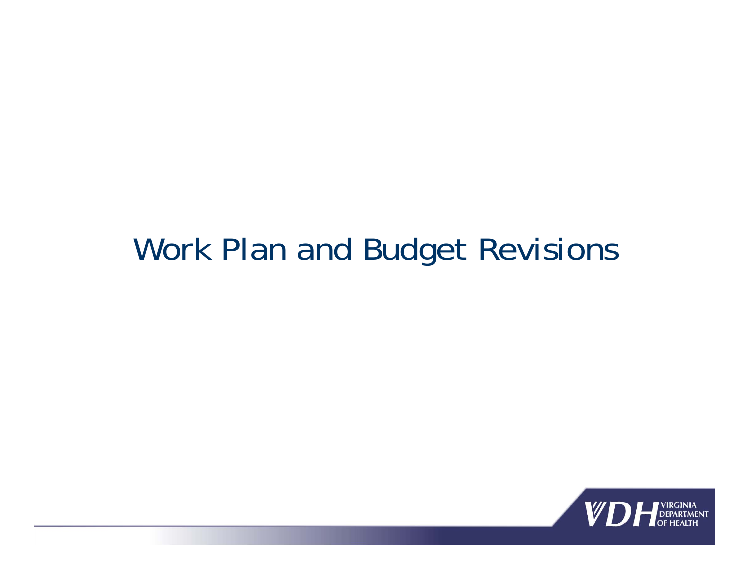#### Work Plan and Budget Revisions

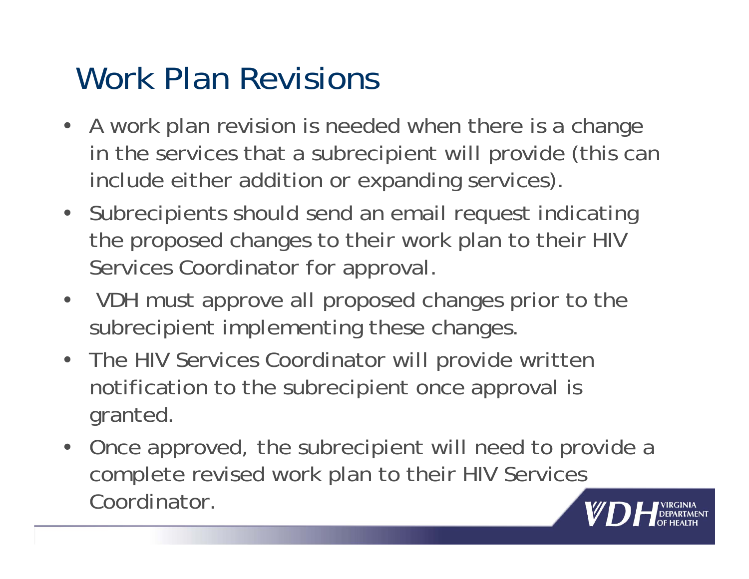# Work Plan Revisions

- A work plan revision is needed when there is a change in the services that a subrecipient will provide (this can include either addition or expanding services).
- Subrecipients should send an email request indicating the proposed changes to their work plan to their HIV Services Coordinator for approval.
- VDH must approve all proposed changes prior to the subrecipient implementing these changes.
- The HIV Services Coordinator will provide written notification to the subrecipient once approval is granted.
- Once approved, the subrecipient will need to provide a complete revised work plan to their HIV Services Coordinator.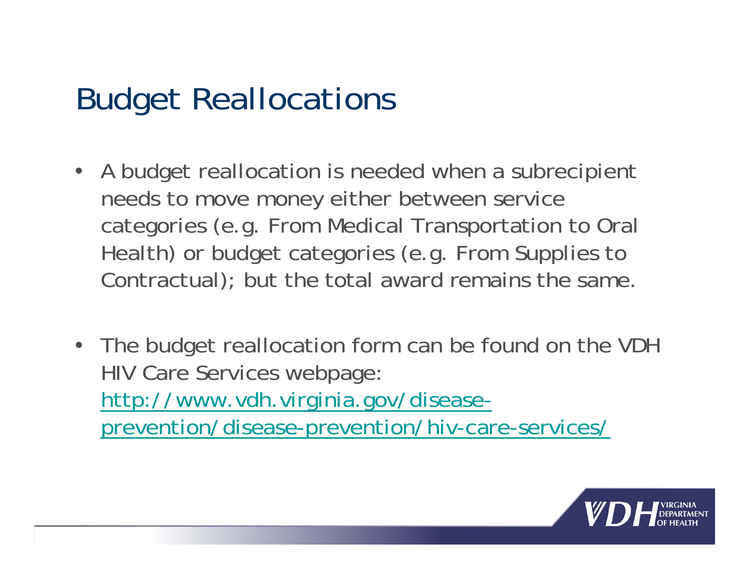- A budget reallocation is needed when a subrecipient needs to move money either between service categories (e.g. From Medical Transportation to Oral Health) or budget categories (e.g. From Supplies to Contractual); but the total award remains the same.
- The budget reallocation form can be found on the VDH HIV Care Services webpage: http://www.vdh.virginia.gov/diseaseprevention/disease-prevention/hiv-care-services/

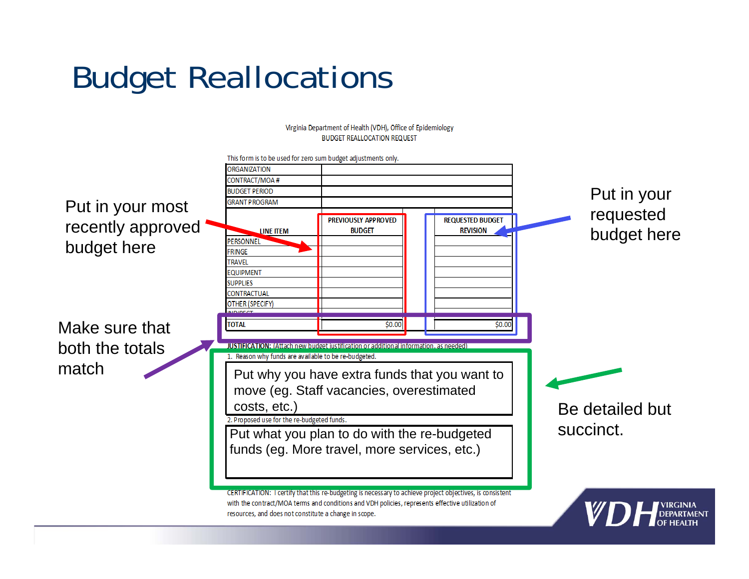**BUDGET REALLOCATION REQUEST** This form is to be used for zero sum budget adjustments only. **ORGANIZATION** CONTRACT/MOA # **BUDGET PERIOD** Put in your **GRANT PROGRAM** Put in your most requested PREVIOUSLY APPROVED **REQUESTED BUDGET** recently approved budget here **BUDGET REVISION** LINE ITEM PERSONNEL budget here **FRINGE TRAVEL** EQUIPMENT **SUPPLIES** CONTRACTUAL **OTHER (SPECIFY)** Make sure that **TOTAL**  $$0.00$  $$0.00$ both the totals **JUSTIFICATION: (Attach new budget justification or additional information, as needed)** 1. Reason why funds are available to be re-budgeted. matchPut why you have extra funds that you want to move (eg. Staff vacancies, overestimated costs, etc.)

Virginia Department of Health (VDH), Office of Epidemiology

2. Proposed use for the re-budgeted funds. Put what you plan to do with the re-budgeted funds (eg. More travel, more services, etc.)

Be detailed but succinct.



CERTIFICATION: I certify that this re-budgeting is necessary to achieve project objectives, is consistent with the contract/MOA terms and conditions and VDH policies, represents effective utilization of resources, and does not constitute a change in scope.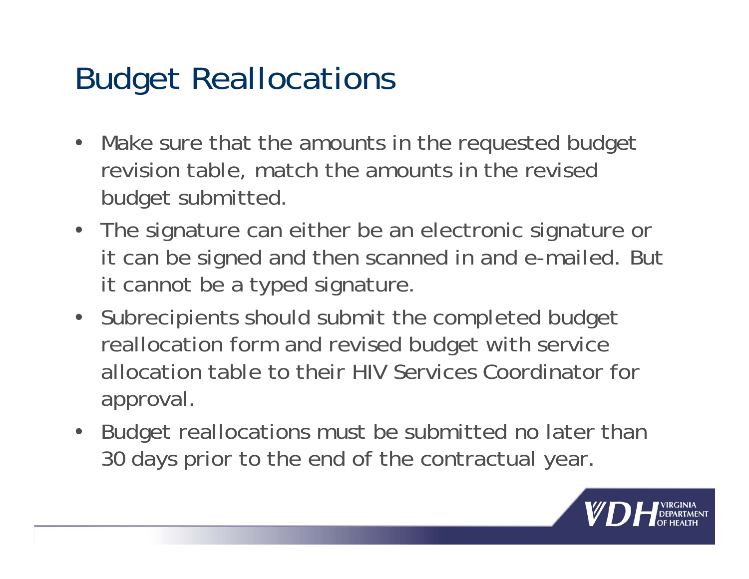- Make sure that the amounts in the requested budget revision table, match the amounts in the revised budget submitted.
- The signature can either be an electronic signature or it can be signed and then scanned in and e-mailed. But it cannot be a typed signature.
- Subrecipients should submit the completed budget reallocation form and revised budget with service allocation table to their HIV Services Coordinator for approval.
- Budget reallocations must be submitted no later than 30 days prior to the end of the contractual year.

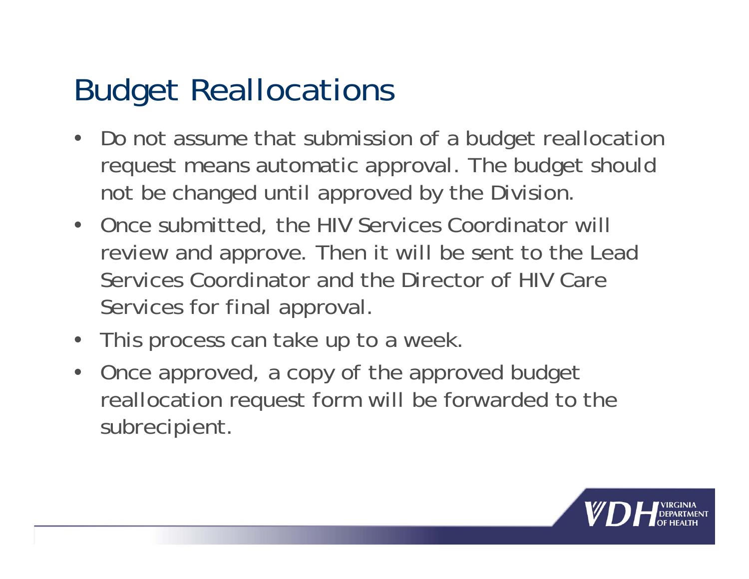- Do not assume that submission of a budget reallocation request means automatic approval. The budget should not be changed until approved by the Division.
- Once submitted, the HIV Services Coordinator will review and approve. Then it will be sent to the Lead Services Coordinator and the Director of HIV Care Services for final approval.
- This process can take up to a week.
- Once approved, a copy of the approved budget reallocation request form will be forwarded to the subrecipient.

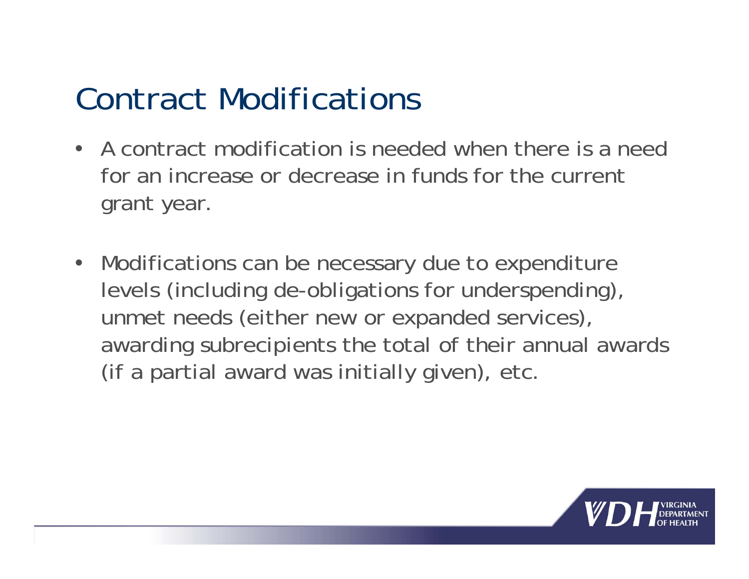### Contract Modifications

- A contract modification is needed when there is a need for an increase or decrease in funds for the current grant year.
- Modifications can be necessary due to expenditure levels (including de-obligations for underspending), unmet needs (either new or expanded services), awarding subrecipients the total of their annual awards (if a partial award was initially given), etc.

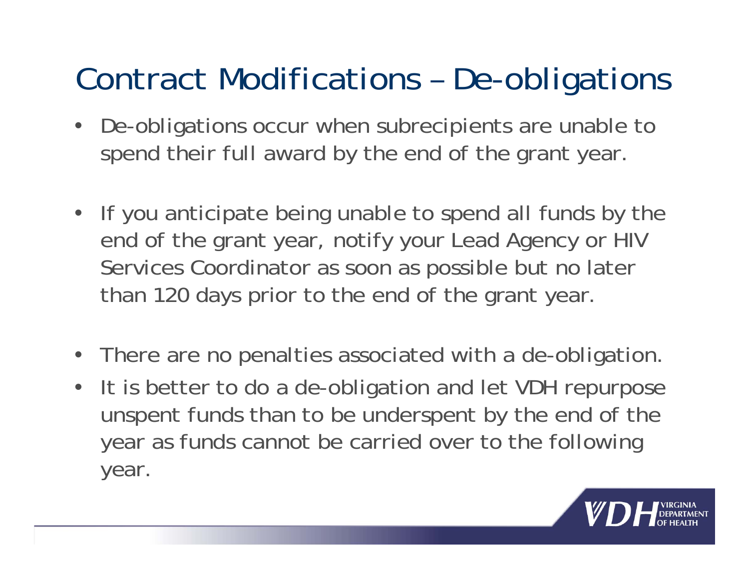### Contract Modifications – De-obligations

- De-obligations occur when subrecipients are unable to spend their full award by the end of the grant year.
- If you anticipate being unable to spend all funds by the end of the grant year, notify your Lead Agency or HIV Services Coordinator as soon as possible but no later than 120 days prior to the end of the grant year.
- There are no penalties associated with a de-obligation.
- It is better to do a de-obligation and let VDH repurpose unspent funds than to be underspent by the end of the year as funds cannot be carried over to the following year.

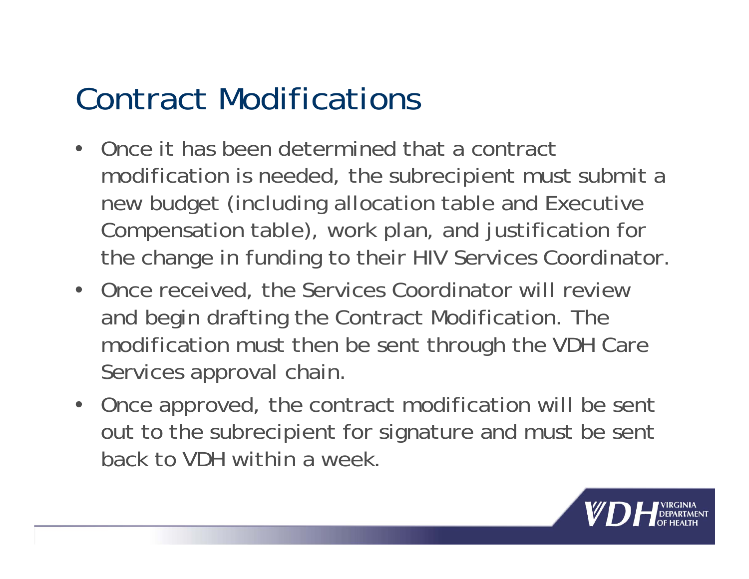### Contract Modifications

- • Once it has been determined that a contract modification is needed, the subrecipient must submit a new budget (including allocation table and Executive Compensation table), work plan, and justification for the change in funding to their HIV Services Coordinator.
- Once received, the Services Coordinator will review and begin drafting the Contract Modification. The modification must then be sent through the VDH Care Services approval chain.
- Once approved, the contract modification will be sent out to the subrecipient for signature and must be sent back to VDH within a week.